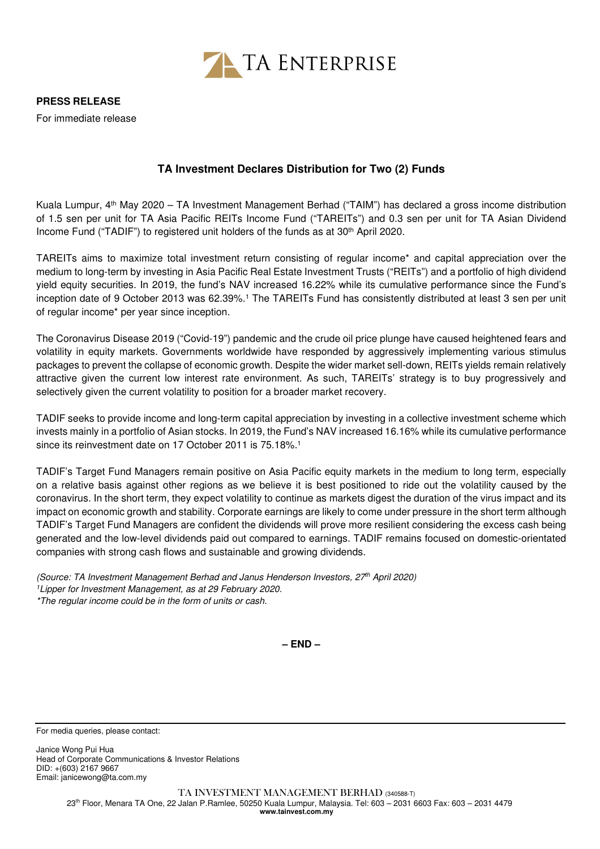

**PRESS RELEASE** 

For immediate release

## **TA Investment Declares Distribution for Two (2) Funds**

Kuala Lumpur, 4th May 2020 – TA Investment Management Berhad ("TAIM") has declared a gross income distribution of 1.5 sen per unit for TA Asia Pacific REITs Income Fund ("TAREITs") and 0.3 sen per unit for TA Asian Dividend Income Fund ("TADIF") to registered unit holders of the funds as at 30th April 2020.

TAREITs aims to maximize total investment return consisting of regular income\* and capital appreciation over the medium to long-term by investing in Asia Pacific Real Estate Investment Trusts ("REITs") and a portfolio of high dividend yield equity securities. In 2019, the fund's NAV increased 16.22% while its cumulative performance since the Fund's inception date of 9 October 2013 was 62.39%.<sup>1</sup> The TAREITs Fund has consistently distributed at least 3 sen per unit of regular income\* per year since inception.

The Coronavirus Disease 2019 ("Covid-19") pandemic and the crude oil price plunge have caused heightened fears and volatility in equity markets. Governments worldwide have responded by aggressively implementing various stimulus packages to prevent the collapse of economic growth. Despite the wider market sell-down, REITs yields remain relatively attractive given the current low interest rate environment. As such, TAREITs' strategy is to buy progressively and selectively given the current volatility to position for a broader market recovery.

TADIF seeks to provide income and long-term capital appreciation by investing in a collective investment scheme which invests mainly in a portfolio of Asian stocks. In 2019, the Fund's NAV increased 16.16% while its cumulative performance since its reinvestment date on 17 October 2011 is 75.18%.<sup>1</sup>

TADIF's Target Fund Managers remain positive on Asia Pacific equity markets in the medium to long term, especially on a relative basis against other regions as we believe it is best positioned to ride out the volatility caused by the coronavirus. In the short term, they expect volatility to continue as markets digest the duration of the virus impact and its impact on economic growth and stability. Corporate earnings are likely to come under pressure in the short term although TADIF's Target Fund Managers are confident the dividends will prove more resilient considering the excess cash being generated and the low-level dividends paid out compared to earnings. TADIF remains focused on domestic-orientated companies with strong cash flows and sustainable and growing dividends.

(Source: TA Investment Management Berhad and Janus Henderson Investors, 27th April 2020) <sup>1</sup>Lipper for Investment Management, as at 29 February 2020. \*The regular income could be in the form of units or cash.

**– END –**

For media queries, please contact:

Janice Wong Pui Hua Head of Corporate Communications & Investor Relations DID: +(603) 2167 9667 Email: janicewong@ta.com.my